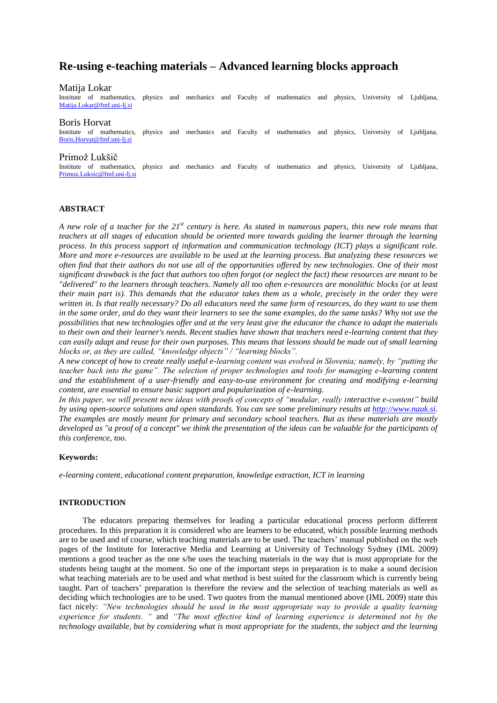# **Re-using e-teaching materials – Advanced learning blocks approach**

#### Matija Lokar

Institute of mathematics, physics and mechanics and Faculty of mathematics and physics, University of Ljubljana, [Matija.Lokar@fmf.uni-lj.si](mailto:Matija.Lokar@fmf.uni-lj.si) 

Boris Horvat

Institute of mathematics, physics and mechanics and Faculty of mathematics and physics, University of Ljubljana, [Boris.Horvat@fmf.uni-lj.si](mailto:Boris.Horvat@fmf.uni-lj.si)

#### Primož Lukšič

Institute of mathematics, physics and mechanics and Faculty of mathematics and physics, University of Ljubljana, [Primoz.Luksic@fmf.uni-lj.si](mailto:Primoz.Luksic@fmf.uni-lj.si)

# **ABSTRACT**

*A new role of a teacher for the 21st century is here. As stated in numerous papers, this new role means that teachers at all stages of education should be oriented more towards guiding the learner through the learning process. In this process support of information and communication technology (ICT) plays a significant role. More and more e-resources are available to be used at the learning process. But analyzing these resources we often find that their authors do not use all of the opportunities offered by new technologies. One of their most significant drawback is the fact that authors too often forgot (or neglect the fact) these resources are meant to be "delivered" to the learners through teachers. Namely all too often e-resources are monolithic blocks (or at least their main part is). This demands that the educator takes them as a whole, precisely in the order they were written in. Is that really necessary? Do all educators need the same form of resources, do they want to use them in the same order, and do they want their learners to see the same examples, do the same tasks? Why not use the possibilities that new technologies offer and at the very least give the educator the chance to adapt the materials to their own and their learner's needs. Recent studies have shown that teachers need e-learning content that they can easily adapt and reuse for their own purposes. This means that lessons should be made out of small learning blocks or, as they are called, "knowledge objects" / "learning blocks".* 

*A new concept of how to create really useful e-learning content was evolved in Slovenia; namely, by "putting the teacher back into the game". The selection of proper technologies and tools for managing e-learning content and the establishment of a user-friendly and easy-to-use environment for creating and modifying e-learning content, are essential to ensure basic support and popularization of e-learning.* 

*In this paper, we will present new ideas with proofs of concepts of "modular, really interactive e-content" build by using open-source solutions and open standards. You can see some preliminary results at [http://www.nauk.si.](http://www.nauk.si/) The examples are mostly meant for primary and secondary school teachers. But as these materials are mostly*  developed as "a proof of a concept" we think the presentation of the ideas can be valuable for the participants of *this conference, too.* 

#### **Keywords:**

*e-learning content, educational content preparation, knowledge extraction, ICT in learning*

#### **INTRODUCTION**

The educators preparing themselves for leading a particular educational process perform different procedures. In this preparation it is considered who are learners to be educated, which possible learning methods are to be used and of course, which teaching materials are to be used. The teachers' manual published on the web pages of the Institute for Interactive Media and Learning at University of Technology Sydney (IML 2009) mentions a good teacher as the one s/he uses the teaching materials in the way that is most appropriate for the students being taught at the moment. So one of the important steps in preparation is to make a sound decision what teaching materials are to be used and what method is best suited for the classroom which is currently being taught. Part of teachers' preparation is therefore the review and the selection of teaching materials as well as deciding which technologies are to be used. Two quotes from the manual mentioned above (IML 2009) state this fact nicely: *"New technologies should be used in the most appropriate way to provide a quality learning experience for students. "* and *"The most effective kind of learning experience is determined not by the technology available, but by considering what is most appropriate for the students, the subject and the learning*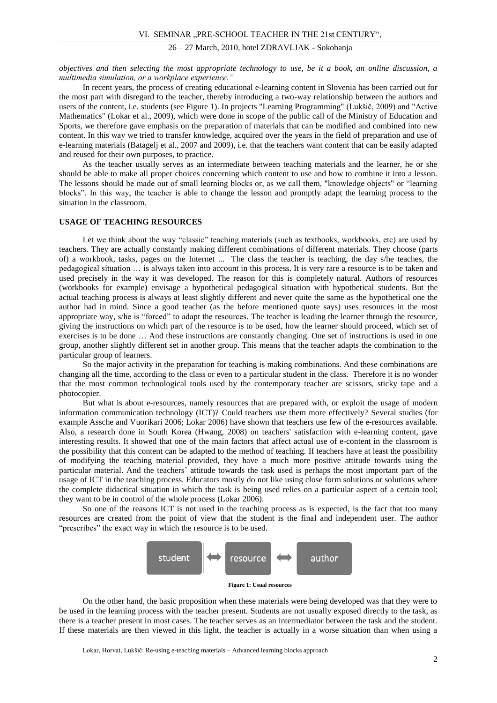*objectives and then selecting the most appropriate technology to use, be it a book, an online discussion, a multimedia simulation, or a workplace experience."*

In recent years, the process of creating educational e-learning content in Slovenia has been carried out for the most part with disregard to the teacher, thereby introducing a two-way relationship between the authors and users of the content, i.e. students (see Figure 1). In projects "Learning Programming" (Lukšič, 2009) and "Active Mathematics" (Lokar et al., 2009), which were done in scope of the public call of the Ministry of Education and Sports, we therefore gave emphasis on the preparation of materials that can be modified and combined into new content. In this way we tried to transfer knowledge, acquired over the years in the field of preparation and use of e-learning materials (Batagelj et al., 2007 and 2009), i.e. that the teachers want content that can be easily adapted and reused for their own purposes, to practice.

As the teacher usually serves as an intermediate between teaching materials and the learner, he or she should be able to make all proper choices concerning which content to use and how to combine it into a lesson. The lessons should be made out of small learning blocks or, as we call them, "knowledge objects" or "learning blocks". In this way, the teacher is able to change the lesson and promptly adapt the learning process to the situation in the classroom.

#### **USAGE OF TEACHING RESOURCES**

Let we think about the way "classic" teaching materials (such as textbooks, workbooks, etc) are used by teachers. They are actually constantly making different combinations of different materials. They choose (parts of) a workbook, tasks, pages on the Internet ... The class the teacher is teaching, the day s/he teaches, the pedagogical situation … is always taken into account in this process. It is very rare a resource is to be taken and used precisely in the way it was developed. The reason for this is completely natural. Authors of resources (workbooks for example) envisage a hypothetical pedagogical situation with hypothetical students. But the actual teaching process is always at least slightly different and never quite the same as the hypothetical one the author had in mind. Since a good teacher (as the before mentioned quote says) uses resources in the most appropriate way, s/he is "forced" to adapt the resources. The teacher is leading the learner through the resource, giving the instructions on which part of the resource is to be used, how the learner should proceed, which set of exercises is to be done … And these instructions are constantly changing. One set of instructions is used in one group, another slightly different set in another group. This means that the teacher adapts the combination to the particular group of learners.

So the major activity in the preparation for teaching is making combinations. And these combinations are changing all the time, according to the class or even to a particular student in the class. Therefore it is no wonder that the most common technological tools used by the contemporary teacher are scissors, sticky tape and a photocopier.

But what is about e-resources, namely resources that are prepared with, or exploit the usage of modern information communication technology (ICT)? Could teachers use them more effectively? Several studies (for example Assche and Vuorikari 2006; Lokar 2006) have shown that teachers use few of the e-resources available. Also, a research done in South Korea (Hwang, 2008) on teachers' satisfaction with e-learning content, gave interesting results. It showed that one of the main factors that affect actual use of e-content in the classroom is the possibility that this content can be adapted to the method of teaching. If teachers have at least the possibility of modifying the teaching material provided, they have a much more positive attitude towards using the particular material. And the teachers' attitude towards the task used is perhaps the most important part of the usage of ICT in the teaching process. Educators mostly do not like using close form solutions or solutions where the complete didactical situation in which the task is being used relies on a particular aspect of a certain tool; they want to be in control of the whole process (Lokar 2006).

So one of the reasons ICT is not used in the teaching process as is expected, is the fact that too many resources are created from the point of view that the student is the final and independent user. The author "prescribes" the exact way in which the resource is to be used.



**Figure 1: Usual resources**

<span id="page-1-0"></span>On the other hand, the basic proposition when these materials were being developed was that they were to be used in the learning process with the teacher present. Students are not usually exposed directly to the task, as there is a teacher present in most cases. The teacher serves as an intermediator between the task and the student. If these materials are then viewed in this light, the teacher is actually in a worse situation than when using a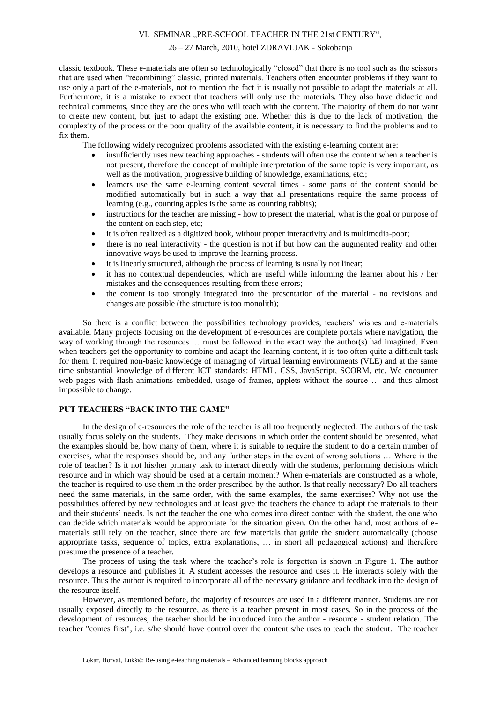classic textbook. These e-materials are often so technologically "closed" that there is no tool such as the scissors that are used when "recombining" classic, printed materials. Teachers often encounter problems if they want to use only a part of the e-materials, not to mention the fact it is usually not possible to adapt the materials at all. Furthermore, it is a mistake to expect that teachers will only use the materials. They also have didactic and technical comments, since they are the ones who will teach with the content. The majority of them do not want to create new content, but just to adapt the existing one. Whether this is due to the lack of motivation, the complexity of the process or the poor quality of the available content, it is necessary to find the problems and to fix them.

The following widely recognized problems associated with the existing e-learning content are:

- insufficiently uses new teaching approaches students will often use the content when a teacher is not present, therefore the concept of multiple interpretation of the same topic is very important, as well as the motivation, progressive building of knowledge, examinations, etc.;
- learners use the same e-learning content several times some parts of the content should be modified automatically but in such a way that all presentations require the same process of learning (e.g., counting apples is the same as counting rabbits);
- instructions for the teacher are missing how to present the material, what is the goal or purpose of the content on each step, etc;
- it is often realized as a digitized book, without proper interactivity and is multimedia-poor;
- there is no real interactivity the question is not if but how can the augmented reality and other innovative ways be used to improve the learning process.
- it is linearly structured, although the process of learning is usually not linear;
- it has no contextual dependencies, which are useful while informing the learner about his / her mistakes and the consequences resulting from these errors;
- the content is too strongly integrated into the presentation of the material no revisions and changes are possible (the structure is too monolith);

So there is a conflict between the possibilities technology provides, teachers' wishes and e-materials available. Many projects focusing on the development of e-resources are complete portals where navigation, the way of working through the resources … must be followed in the exact way the author(s) had imagined. Even when teachers get the opportunity to combine and adapt the learning content, it is too often quite a difficult task for them. It required non-basic knowledge of managing of virtual learning environments (VLE) and at the same time substantial knowledge of different ICT standards: HTML, CSS, JavaScript, SCORM, etc. We encounter web pages with flash animations embedded, usage of frames, applets without the source … and thus almost impossible to change.

# **PUT TEACHERS "BACK INTO THE GAME"**

In the design of e-resources the role of the teacher is all too frequently neglected. The authors of the task usually focus solely on the students. They make decisions in which order the content should be presented, what the examples should be, how many of them, where it is suitable to require the student to do a certain number of exercises, what the responses should be, and any further steps in the event of wrong solutions … Where is the role of teacher? Is it not his/her primary task to interact directly with the students, performing decisions which resource and in which way should be used at a certain moment? When e-materials are constructed as a whole, the teacher is required to use them in the order prescribed by the author. Is that really necessary? Do all teachers need the same materials, in the same order, with the same examples, the same exercises? Why not use the possibilities offered by new technologies and at least give the teachers the chance to adapt the materials to their and their students' needs. Is not the teacher the one who comes into direct contact with the student, the one who can decide which materials would be appropriate for the situation given. On the other hand, most authors of ematerials still rely on the teacher, since there are few materials that guide the student automatically (choose appropriate tasks, sequence of topics, extra explanations, … in short all pedagogical actions) and therefore presume the presence of a teacher.

The process of using the task where the teacher's role is forgotten is shown in [Figure 1.](#page-1-0) The author develops a resource and publishes it. A student accesses the resource and uses it. He interacts solely with the resource. Thus the author is required to incorporate all of the necessary guidance and feedback into the design of the resource itself.

However, as mentioned before, the majority of resources are used in a different manner. Students are not usually exposed directly to the resource, as there is a teacher present in most cases. So in the process of the development of resources, the teacher should be introduced into the author - resource - student relation. The teacher "comes first", i.e. s/he should have control over the content s/he uses to teach the student. The teacher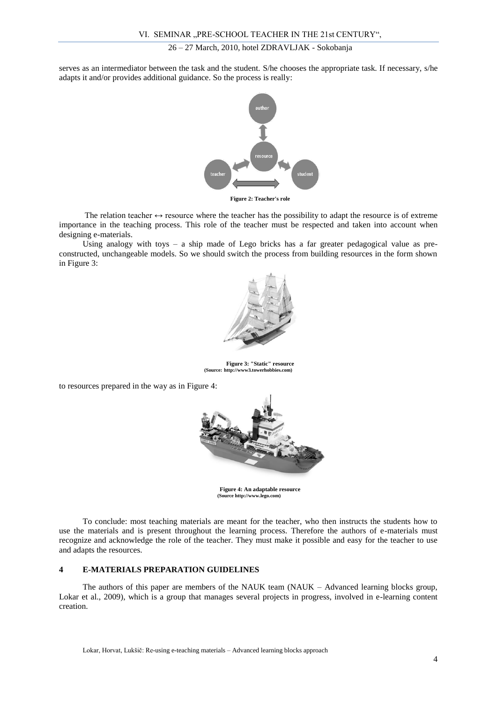serves as an intermediator between the task and the student. S/he chooses the appropriate task. If necessary, s/he adapts it and/or provides additional guidance. So the process is really:



**Figure 2: Teacher's role**

The relation teacher  $\leftrightarrow$  resource where the teacher has the possibility to adapt the resource is of extreme importance in the teaching process. This role of the teacher must be respected and taken into account when designing e-materials.

Using analogy with toys – a ship made of Lego bricks has a far greater pedagogical value as preconstructed, unchangeable models. So we should switch the process from building resources in the form shown in [Figure 3:](#page-3-0)



**Figure 3: "Static" resource (Source: http://www3.towerhobbies.com)**

<span id="page-3-0"></span>to resources prepared in the way as in [Figure 4:](#page-3-1)



**Figure 4: An adaptable resource (Source http://www.lego.com)**

<span id="page-3-1"></span>To conclude: most teaching materials are meant for the teacher, who then instructs the students how to use the materials and is present throughout the learning process. Therefore the authors of e-materials must recognize and acknowledge the role of the teacher. They must make it possible and easy for the teacher to use and adapts the resources.

# **4 E-MATERIALS PREPARATION GUIDELINES**

The authors of this paper are members of the NAUK team (NAUK – Advanced learning blocks group, Lokar et al., 2009), which is a group that manages several projects in progress, involved in e-learning content creation.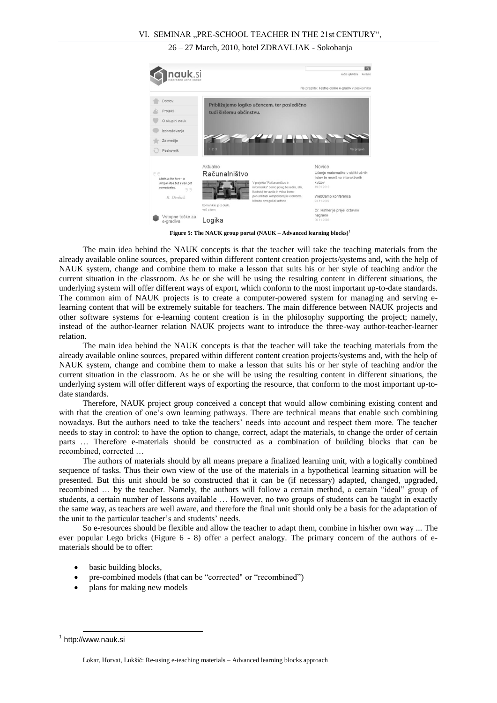|                                                                                            |                                     |                                                                                                                                                                                                                                      | Ne prezrite: Testne oblike e-gradiv v peskovniku                     |
|--------------------------------------------------------------------------------------------|-------------------------------------|--------------------------------------------------------------------------------------------------------------------------------------------------------------------------------------------------------------------------------------|----------------------------------------------------------------------|
| Domov                                                                                      |                                     | Približujemo logiko učencem, ter posledično                                                                                                                                                                                          |                                                                      |
| Projekti                                                                                   | tudi širšemu občinstvu.             |                                                                                                                                                                                                                                      |                                                                      |
| O skupini nauk                                                                             |                                     |                                                                                                                                                                                                                                      |                                                                      |
| Izobraževanja                                                                              |                                     |                                                                                                                                                                                                                                      |                                                                      |
| Za medije                                                                                  |                                     | <b>The Contract of the Second Second Second Second Second Second Second Second Second Second Second Second Second Second Second Second Second Second Second Second Second Second Second Second Second Second Second Second Secon</b> |                                                                      |
| Peskovnik                                                                                  | 123                                 |                                                                                                                                                                                                                                      | Vsi projekti                                                         |
|                                                                                            | Aktualno                            |                                                                                                                                                                                                                                      | Novice                                                               |
| $\rho$ $\rho$<br>Math is like love - a<br>simple idea but it can get<br>complicated.<br>99 | Računalništvo                       |                                                                                                                                                                                                                                      | Učenje matematike v obliki učnih<br>listov in resnično interaktivnih |
|                                                                                            |                                     | V projektu "Računalništvo in<br>informatika" bomo poleg besedila, slik,<br>ilustracii ter avdia in videa bomo                                                                                                                        | kvizov<br>19 01 2010                                                 |
|                                                                                            |                                     |                                                                                                                                                                                                                                      | WebCamp konferenca                                                   |
| R. Drabek                                                                                  |                                     | ponudili tudi kompleksneiše elemente.                                                                                                                                                                                                |                                                                      |
|                                                                                            | komunikacijo z dijaki.<br>več o tem | ki bodo omogočali aktivno                                                                                                                                                                                                            | 23 11 2009<br>Dr. Hafner je prejel državno                           |

**Figure 5: The NAUK group portal (NAUK – Advanced learning blocks)**<sup>1</sup>

The main idea behind the NAUK concepts is that the teacher will take the teaching materials from the already available online sources, prepared within different content creation projects/systems and, with the help of NAUK system, change and combine them to make a lesson that suits his or her style of teaching and/or the current situation in the classroom. As he or she will be using the resulting content in different situations, the underlying system will offer different ways of export, which conform to the most important up-to-date standards. The common aim of NAUK projects is to create a computer-powered system for managing and serving elearning content that will be extremely suitable for teachers. The main difference between NAUK projects and other software systems for e-learning content creation is in the philosophy supporting the project; namely, instead of the author-learner relation NAUK projects want to introduce the three-way author-teacher-learner relation.

The main idea behind the NAUK concepts is that the teacher will take the teaching materials from the already available online sources, prepared within different content creation projects/systems and, with the help of NAUK system, change and combine them to make a lesson that suits his or her style of teaching and/or the current situation in the classroom. As he or she will be using the resulting content in different situations, the underlying system will offer different ways of exporting the resource, that conform to the most important up-todate standards.

Therefore, NAUK project group conceived a concept that would allow combining existing content and with that the creation of one's own learning pathways. There are technical means that enable such combining nowadays. But the authors need to take the teachers' needs into account and respect them more. The teacher needs to stay in control: to have the option to change, correct, adapt the materials, to change the order of certain parts … Therefore e-materials should be constructed as a combination of building blocks that can be recombined, corrected …

The authors of materials should by all means prepare a finalized learning unit, with a logically combined sequence of tasks. Thus their own view of the use of the materials in a hypothetical learning situation will be presented. But this unit should be so constructed that it can be (if necessary) adapted, changed, upgraded, recombined … by the teacher. Namely, the authors will follow a certain method, a certain "ideal" group of students, a certain number of lessons available … However, no two groups of students can be taught in exactly the same way, as teachers are well aware, and therefore the final unit should only be a basis for the adaptation of the unit to the particular teacher's and students' needs.

So e-resources should be flexible and allow the teacher to adapt them, combine in his/her own way ... The ever popular Lego bricks (Figure 6 - 8) offer a perfect analogy. The primary concern of the authors of ematerials should be to offer:

- basic building blocks,
- pre-combined models (that can be "corrected" or "recombined")
- plans for making new models

 $\overline{a}$ 

Lokar, Horvat, Lukšič: Re-using e-teaching materials – Advanced learning blocks approach

<sup>&</sup>lt;sup>1</sup> http://www.nauk.si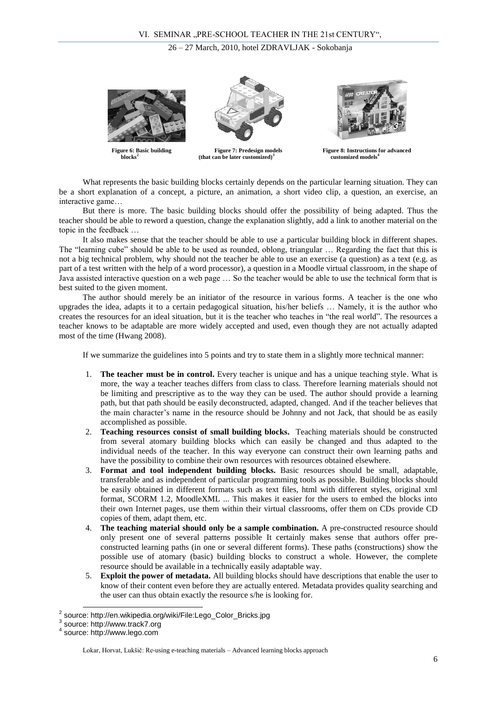

**Figure 6: Basic building blocks<sup>2</sup>**



**Figure 7: Predesign models (that can be later customized)<sup>3</sup>**



**Figure 8: Instructions for advanced customized models<sup>4</sup>**

What represents the basic building blocks certainly depends on the particular learning situation. They can be a short explanation of a concept, a picture, an animation, a short video clip, a question, an exercise, an interactive game…

But there is more. The basic building blocks should offer the possibility of being adapted. Thus the teacher should be able to reword a question, change the explanation slightly, add a link to another material on the topic in the feedback …

It also makes sense that the teacher should be able to use a particular building block in different shapes. The "learning cube" should be able to be used as rounded, oblong, triangular … Regarding the fact that this is not a big technical problem, why should not the teacher be able to use an exercise (a question) as a text (e.g. as part of a test written with the help of a word processor), a question in a Moodle virtual classroom, in the shape of Java assisted interactive question on a web page … So the teacher would be able to use the technical form that is best suited to the given moment.

The author should merely be an initiator of the resource in various forms. A teacher is the one who upgrades the idea, adapts it to a certain pedagogical situation, his/her beliefs … Namely, it is the author who creates the resources for an ideal situation, but it is the teacher who teaches in "the real world". The resources a teacher knows to be adaptable are more widely accepted and used, even though they are not actually adapted most of the time (Hwang 2008).

If we summarize the guidelines into 5 points and try to state them in a slightly more technical manner:

- 1. **The teacher must be in control.** Every teacher is unique and has a unique teaching style. What is more, the way a teacher teaches differs from class to class. Therefore learning materials should not be limiting and prescriptive as to the way they can be used. The author should provide a learning path, but that path should be easily deconstructed, adapted, changed. And if the teacher believes that the main character's name in the resource should be Johnny and not Jack, that should be as easily accomplished as possible.
- 2. **Teaching resources consist of small building blocks.** Teaching materials should be constructed from several atomary building blocks which can easily be changed and thus adapted to the individual needs of the teacher. In this way everyone can construct their own learning paths and have the possibility to combine their own resources with resources obtained elsewhere.
- 3. **Format and tool independent building blocks.** Basic resources should be small, adaptable, transferable and as independent of particular programming tools as possible. Building blocks should be easily obtained in different formats such as text files, html with different styles, original xml format, SCORM 1.2, MoodleXML ... This makes it easier for the users to embed the blocks into their own Internet pages, use them within their virtual classrooms, offer them on CDs provide CD copies of them, adapt them, etc.
- 4. **The teaching material should only be a sample combination.** A pre-constructed resource should only present one of several patterns possible It certainly makes sense that authors offer preconstructed learning paths (in one or several different forms). These paths (constructions) show the possible use of atomary (basic) building blocks to construct a whole. However, the complete resource should be available in a technically easily adaptable way.
- 5. **Exploit the power of metadata.** All building blocks should have descriptions that enable the user to know of their content even before they are actually entered. Metadata provides quality searching and the user can thus obtain exactly the resource s/he is looking for.

 $\overline{a}$ 

<sup>&</sup>lt;sup>2</sup> source: http://en.wikipedia.org/wiki/File:Lego\_Color\_Bricks.jpg

<sup>3</sup> source: http://www.track7.org

<sup>4</sup> source: http://www.lego.com

Lokar, Horvat, Lukšič: Re-using e-teaching materials – Advanced learning blocks approach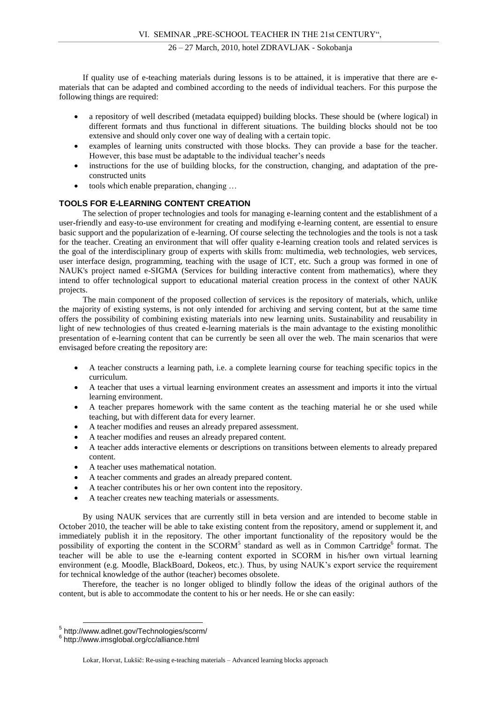If quality use of e-teaching materials during lessons is to be attained, it is imperative that there are ematerials that can be adapted and combined according to the needs of individual teachers. For this purpose the following things are required:

- a repository of well described (metadata equipped) building blocks. These should be (where logical) in different formats and thus functional in different situations. The building blocks should not be too extensive and should only cover one way of dealing with a certain topic.
- examples of learning units constructed with those blocks. They can provide a base for the teacher. However, this base must be adaptable to the individual teacher's needs
- instructions for the use of building blocks, for the construction, changing, and adaptation of the preconstructed units
- tools which enable preparation, changing …

# **TOOLS FOR E-LEARNING CONTENT CREATION**

The selection of proper technologies and tools for managing e-learning content and the establishment of a user-friendly and easy-to-use environment for creating and modifying e-learning content, are essential to ensure basic support and the popularization of e-learning. Of course selecting the technologies and the tools is not a task for the teacher. Creating an environment that will offer quality e-learning creation tools and related services is the goal of the interdisciplinary group of experts with skills from: multimedia, web technologies, web services, user interface design, programming, teaching with the usage of ICT, etc. Such a group was formed in one of NAUK's project named e-SIGMA (Services for building interactive content from mathematics), where they intend to offer technological support to educational material creation process in the context of other NAUK projects.

The main component of the proposed collection of services is the repository of materials, which, unlike the majority of existing systems, is not only intended for archiving and serving content, but at the same time offers the possibility of combining existing materials into new learning units. Sustainability and reusability in light of new technologies of thus created e-learning materials is the main advantage to the existing monolithic presentation of e-learning content that can be currently be seen all over the web. The main scenarios that were envisaged before creating the repository are:

- A teacher constructs a learning path, i.e. a complete learning course for teaching specific topics in the curriculum.
- A teacher that uses a virtual learning environment creates an assessment and imports it into the virtual learning environment.
- A teacher prepares homework with the same content as the teaching material he or she used while teaching, but with different data for every learner.
- A teacher modifies and reuses an already prepared assessment.
- A teacher modifies and reuses an already prepared content.
- A teacher adds interactive elements or descriptions on transitions between elements to already prepared content.
- A teacher uses mathematical notation.
- A teacher comments and grades an already prepared content.
- A teacher contributes his or her own content into the repository.
- A teacher creates new teaching materials or assessments.

By using NAUK services that are currently still in beta version and are intended to become stable in October 2010, the teacher will be able to take existing content from the repository, amend or supplement it, and immediately publish it in the repository. The other important functionality of the repository would be the possibility of exporting the content in the SCORM<sup>5</sup> standard as well as in Common Cartridge<sup>6</sup> format. The teacher will be able to use the e-learning content exported in SCORM in his/her own virtual learning environment (e.g. Moodle, BlackBoard, Dokeos, etc.). Thus, by using NAUK's export service the requirement for technical knowledge of the author (teacher) becomes obsolete.

Therefore, the teacher is no longer obliged to blindly follow the ideas of the original authors of the content, but is able to accommodate the content to his or her needs. He or she can easily:

 5 http://www.adlnet.gov/Technologies/scorm/

<sup>6</sup> http://www.imsglobal.org/cc/alliance.html

Lokar, Horvat, Lukšič: Re-using e-teaching materials – Advanced learning blocks approach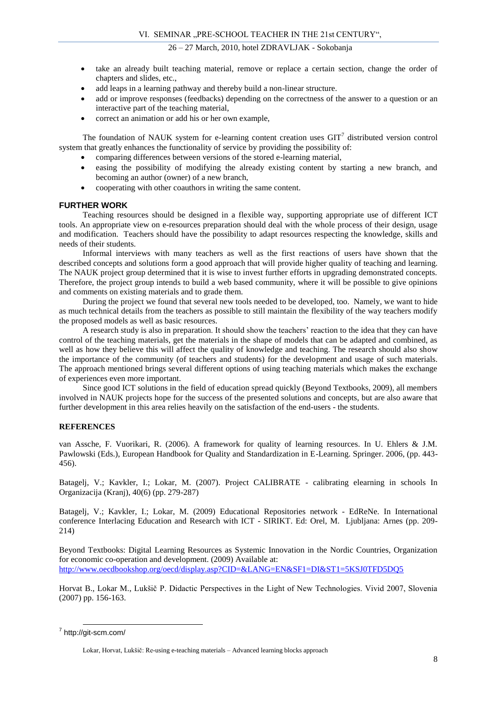- take an already built teaching material, remove or replace a certain section, change the order of chapters and slides, etc.,
- add leaps in a learning pathway and thereby build a non-linear structure.
- add or improve responses (feedbacks) depending on the correctness of the answer to a question or an interactive part of the teaching material,
- correct an animation or add his or her own example,

The foundation of NAUK system for e-learning content creation uses  $GIT<sup>7</sup>$  distributed version control system that greatly enhances the functionality of service by providing the possibility of:

- comparing differences between versions of the stored e-learning material,
- easing the possibility of modifying the already existing content by starting a new branch, and becoming an author (owner) of a new branch,
- cooperating with other coauthors in writing the same content.

# **FURTHER WORK**

Teaching resources should be designed in a flexible way, supporting appropriate use of different ICT tools. An appropriate view on e-resources preparation should deal with the whole process of their design, usage and modification. Teachers should have the possibility to adapt resources respecting the knowledge, skills and needs of their students.

Informal interviews with many teachers as well as the first reactions of users have shown that the described concepts and solutions form a good approach that will provide higher quality of teaching and learning. The NAUK project group determined that it is wise to invest further efforts in upgrading demonstrated concepts. Therefore, the project group intends to build a web based community, where it will be possible to give opinions and comments on existing materials and to grade them.

During the project we found that several new tools needed to be developed, too. Namely, we want to hide as much technical details from the teachers as possible to still maintain the flexibility of the way teachers modify the proposed models as well as basic resources.

A research study is also in preparation. It should show the teachers' reaction to the idea that they can have control of the teaching materials, get the materials in the shape of models that can be adapted and combined, as well as how they believe this will affect the quality of knowledge and teaching. The research should also show the importance of the community (of teachers and students) for the development and usage of such materials. The approach mentioned brings several different options of using teaching materials which makes the exchange of experiences even more important.

Since good ICT solutions in the field of education spread quickly (Beyond Textbooks, 2009), all members involved in NAUK projects hope for the success of the presented solutions and concepts, but are also aware that further development in this area relies heavily on the satisfaction of the end-users - the students.

# **REFERENCES**

van Assche, F. Vuorikari, R. (2006). A framework for quality of learning resources. In U. Ehlers & J.M. Pawlowski (Eds.), European Handbook for Quality and Standardization in E-Learning. Springer. 2006, (pp. 443- 456).

Batagelj, V.; Kavkler, I.; Lokar, M. (2007). Project CALIBRATE - calibrating elearning in schools In Organizacija (Kranj), 40(6) (pp. 279-287)

Batagelj, V.; Kavkler, I.; Lokar, M. (2009) Educational Repositories network - EdReNe. In International conference Interlacing Education and Research with ICT - SIRIKT. Ed: Orel, M. Ljubljana: Arnes (pp. 209- 214)

Beyond Textbooks: Digital Learning Resources as Systemic Innovation in the Nordic Countries, Organization for economic co-operation and development. (2009) Available at: <http://www.oecdbookshop.org/oecd/display.asp?CID=&LANG=EN&SF1=DI&ST1=5KSJ0TFD5DQ5>

Horvat B., Lokar M., Lukšič P. Didactic Perspectives in the Light of New Technologies. Vivid 2007, Slovenia (2007) pp. 156-163.

 $\overline{a}$ 

<sup>&</sup>lt;sup>7</sup> http://git-scm.com/

Lokar, Horvat, Lukšič: Re-using e-teaching materials – Advanced learning blocks approach